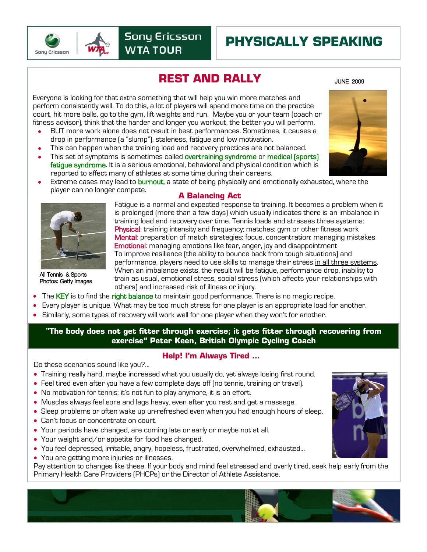

# **PHYSICALLY SPEAKING**

## **REST AND RALLY**

JUNE 2009

Everyone is looking for that extra something that will help you win more matches and perform consistently well. To do this, a lot of players will spend more time on the practice court, hit more balls, go to the gym, lift weights and run. Maybe you or your team (coach or fitness advisor), think that the harder and longer you workout, the better you will perform.

- BUT more work alone does not result in best performances. Sometimes, it causes a drop in performance (a "slump"), staleness, fatigue and low motivation.
- This can happen when the training load and recovery practices are not balanced.
- This set of symptoms is sometimes called overtraining syndrome or medical (sports) fatigue syndrome. It is a serious emotional, behavioral and physical condition which is reported to affect many of athletes at some time during their careers.
- Extreme cases may lead to burnout, a state of being physically and emotionally exhausted, where the player can no longer compete. **A Balancing Act**



All Tennis & Sports Photos: Getty Images

Fatigue is a normal and expected response to training. It becomes a problem when it is prolonged (more than a few days) which usually indicates there is an imbalance in training load and recovery over time. Tennis loads and stresses three systems: Physical: training intensity and frequency; matches; gym or other fitness work Mental: preparation of match strategies; focus, concentration; managing mistakes Emotional: managing emotions like fear, anger, joy and disappointment To improve resilience (the ability to bounce back from tough situations) and performance, players need to use skills to manage their stress in all three systems. When an imbalance exists, the result will be fatigue, performance drop, inability to train as usual, emotional stress, social stress (which affects your relationships with others) and increased risk of illness or injury.

- The KEY is to find the right balance to maintain good performance. There is no magic recipe.
- Every player is unique. What may be too much stress for one player is an appropriate load for another.
- Similarly, some types of recovery will work well for one player when they won't for another.

. **"The body does not get fitter through exercise; it gets fitter through recovering from exercise" Peter Keen, British Olympic Cycling Coach**

#### **Help! I'm Always Tired …**

Do these scenarios sound like you?...

- Training really hard, maybe increased what you usually do, yet always losing first round.
- Feel tired even after you have a few complete days off (no tennis, training or travel).
- No motivation for tennis; it's not fun to play anymore, it is an effort.
- Muscles always feel sore and legs heavy, even after you rest and get a massage.
- Sleep problems or often wake up un-refreshed even when you had enough hours of sleep.
- Can't focus or concentrate on court.
- Your periods have changed, are coming late or early or maybe not at all.
- Your weight and/or appetite for food has changed.
- You feel depressed, irritable, angry, hopeless, frustrated, overwhelmed, exhausted…
- You are getting more injuries or illnesses.

Pay attention to changes like these. If your body and mind feel stressed and overly tired, seek help early from the Primary Health Care Providers (PHCPs) or the Director of Athlete Assistance.